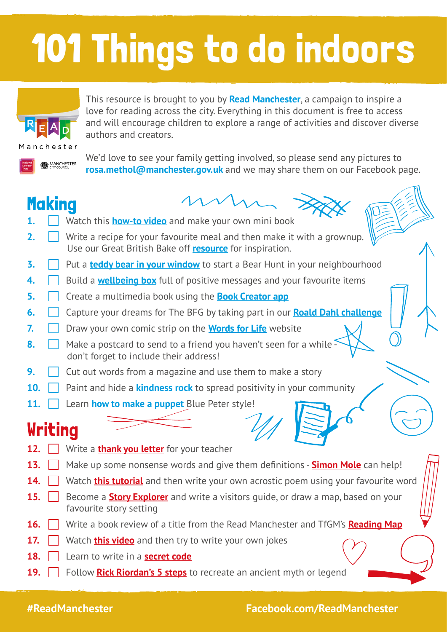# 101 Things to do indoors



This resource is brought to you by **Read Manchester**, a campaign to inspire a love for reading across the city. Everything in this document is free to access and will encourage children to explore a range of activities and discover diverse authors and creators.



We'd love to see your family getting involved, so please send any pictures to **rosa.methol@manchester.gov.uk** and we may share them on our Facebook page.

#### **Making**



- **1. Watch this [how-to video](https://www.facebook.com/watch/?v=882229155590355)** and make your own mini book
- **2.**  $\Box$  Write a recipe for your favourite meal and then make it with a grownup. Use our Great British Bake off **[resource](https://literacytrust.org.uk/resources/hot-topic-great-british-bake-off/)** for inspiration.
- **3.** Put a **[teddy bear in your window](https://www.bbc.co.uk/newsround/52124055)** to start a Bear Hunt in your neighbourhood
- **4. Build a [wellbeing box](https://www.scouts.org.uk/activities/build-a-wellbeing-box/)** full of positive messages and your favourite items
- **5. Create a multimedia book using the [Book Creator app](https://bookcreator.com/2020/03/support-for-schools-affected-by-coronavirus/)**
- **6.**  $\Box$  Capture your dreams for The BFG by taking part in our **[Roald Dahl challenge](https://cdn.literacytrust.org.uk/media/documents/FamilyZone_Dahl_BFG_writing_challenge.pdf)**
- **7. D** Draw your own comic strip on the **[Words for Life](http://www.wordsforlife.org.uk/dfc-comic-library)** website
- **8. Make a postcard to send to a friend you haven't seen for a while** don't forget to include their address!
- **9.** Cut out words from a magazine and use them to make a story
- **10.** Paint and hide a **[kindness rock](https://www.scouts.org.uk/activities/kindness-rocks/)** to spread positivity in your community
- **11. Learn [how to make a puppet](https://www.youtube.com/watch?v=_sH6nGwNQfM&list=PLk2uTpq_0-GU2R9Wp54R4Zay-vD8DYObh&index=158)** Blue Peter style!

#### **Writing**

- **12. Write a [thank you letter](https://literacytrust.org.uk/family-zone/5-8/dream-big-home/)** for your teacher
- **13.**  $\Box$  Make up some nonsense words and give them definitions **[Simon Mole](https://www.youtube.com/watch?v=cb3TZa7TjPE)** can help!
- **14.** Watch **[this tutorial](https://www.youtube.com/watch?v=r3FZyXFS6bU)** and then write your own acrostic poem using your favourite word
- **15. Become a [Story Explorer](https://literacytrust.org.uk/resources/story-explorers/)** and write a visitors guide, or draw a map, based on your favourite story setting
- **16.**  $\Box$  Write a book review of a title from the Read Manchester and TfGM's **[Reading Map](https://literacytrust.org.uk/communities/manchester/read-manchester-launches-reading-map-transport-greater-manchester/)**
- **17. I** Watch **[this video](https://www.youtube.com/watch?v=ox4jCUD1hXQ)** and then try to write your own jokes
- **18.** Learn to write in a **[secret code](https://kidsactivitiesblog.com/27282/secret-codes-to-write-a-coded-letter/)**
- **19. Follow [Rick Riordan's 5 steps](https://www.puffinschools.co.uk/resources/ks2-video-how-to-borrow-ideas-from-the-ancient-greeks-with-rick-riordan-3-mins/)** to recreate an ancient myth or legend

#### **#DoncasterStories Facebook.com/DoncasterStories [doncasterstories.org.uk](http://doncasterstories.org.uk) #ReadManchester Facebook.com/ReadManchester**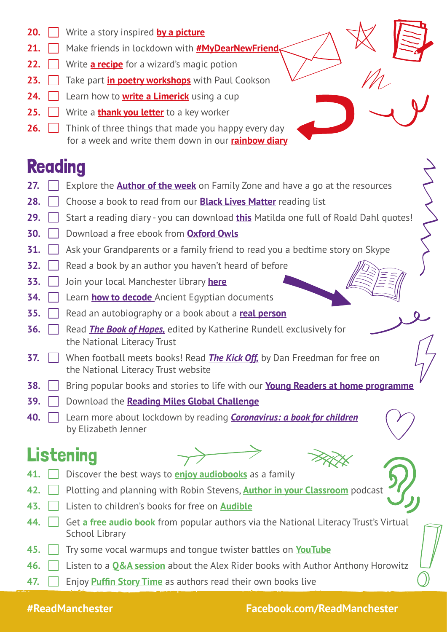- **20.** Write a story inspired **[by a picture](http://www.pobble365.com/)**
- **21. Make friends in lockdown with [#My](http://www.pobble365.com/)DearNewFriend**
- **22.** Write **[a recipe](https://literacytrust.org.uk/family-zone/5-8/magic-potion/)** for a wizard's magic potion
- **23. Take part [in poetry workshops](https://literacytrust.org.uk/family-zone/5-8/write-your-own-poetry-paul-cookson/)** with Paul Cookson
- **24.** Learn how to **[write a Limerick](https://literacytrust.org.uk/family-zone/9-12/how-write-limerick/)** using a cup
- **25.** Write a **[thank you letter](https://literacytrust.org.uk/family-zone/9-12/write-thank-you-letter-key-worker/)** to a key worker
- **26.** Think of three things that made you happy every day for a week and write them down in our **[rainbow diary](https://literacytrust.org.uk/family-zone/5-8/my-rainbow-diary/)**

#### **Reading**

- **27.**  $\Box$  Explore the **[Author of the week](https://literacytrust.org.uk/family-zone/author-week-family-zone/)** on Family Zone and have a go at the resources
- **28.** Choose a book to read from our **[Black Lives Matter](https://literacytrust.org.uk/resources/black-lives-matter-book-lists-ages-0-16/)** reading list
- **29. I** Start a reading diary you can download **[this](https://www.puffinschools.co.uk/resources/ks2-worksheet-matildas-reading-diary/)** Matilda one full of Roald Dahl quotes!
- **30.** Download a free ebook from **[Oxford Owls](https://www.oxfordowl.co.uk/for-home/find-a-book/library-page)**
- **31.**  $\Box$  Ask your Grandparents or a family friend to read you a bedtime story on Skype
- **32.**  $\Box$  Read a book by an author you haven't heard of before
- **33.** Join your local Manchester library **[here](https://manchester.spydus.co.uk/cgi-bin/spydus.exe/MSGTRN/wPAC/JOIN)**
- **34. Learn how to decode** Ancient Egyptian documents
- **35. H** Read an autobiography or a book about a **[real person](https://www.puffinschools.co.uk/book-lists/ks2-new-extraordinary-biographies/)**
- **36. Read** *The Book of Hopes*, edited by Katherine Rundell exclusively for the National Literacy Trust
- **37.** | | When football meets books! Read **The Kick Off**, by Dan Freedman for free on the National Literacy Trust website
- **38. Bring popular books and stories to life with our [Young Readers at home programme](https://literacytrust.org.uk/family-zone/9-12/young-readers-home-aged-9-12/)**
- **39.** Download the **[Reading Miles Global Challenge](https://literacytrust.org.uk/resources/reading-miles-global-challenge/)**
- **40.** Learn more about lockdown by reading *[Coronavirus: a book for children](https://literacytrust.org.uk/family-zone/5-8/coronavirus-a-book-for-children/)* by Elizabeth Jenner

## Listening



- **41.** <u>Discover the best ways to [enjoy audiobooks](https://cdn.literacytrust.org.uk/media/documents/Audiobooks_resoruce_-_Parents_-_final_6YNgSVJ.pdf)</u> as a family
- **42.** Plotting and planning with Robin Stevens, **[Author in your Classroom](https://podcasts.apple.com/gb/podcast/plotting-and-planning-with-robin-stevens/id1496583779?i=1000465935039)** podcast
- **43.** Listen to children's books for free on **[Audible](https://stories.audible.com/discovery)**
- **44. 6.** Get **[a free audio book](https://literacytrust.org.uk/family-zone/9-12/ade-adepitan/)** from popular authors via the National Literacy Trust's Virtual School Library
- **45. T**ry some vocal warmups and tongue twister battles on **[YouTube](https://www.youtube.com/watch?v=y7EEMS9VPY8&list=PLOAbOJTjL_M5Q2Jef8opiRm89mXlJzJln&index=11&t=0s)**
- **46.** Listen to a **[Q&A session](https://www.youtube.com/watch?v=fwqOqf-hn-8&feature=youtu.be)** about the Alex Rider books with Author Anthony Horowitz
- **47. Enjoy [Puffin Story Time](https://www.youtube.com/user/puffinbooks1)** as authors read their own books live

**#ReadManchester Facebook.com/ReadManchester**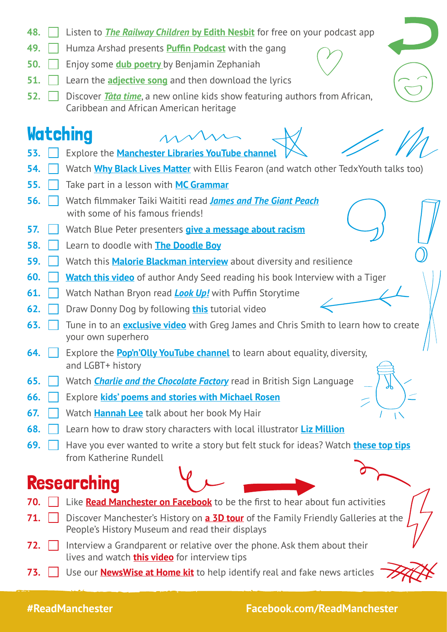- **48. Listen to** *[The Railway Children](https://podcasts.apple.com/gb/podcast/railway-children-by-edith-nesbit/id866417394)* **by Edith Nesbit** for free on your podcast app **49. Humza Arshad presents [Puffin Podcast](https://www.penguin.co.uk/articles/children/2020/mar/puffin-podcast-episode-1-under-the-sea.html)** with the gang
- **50.** Enjoy some **[dub poetry](https://www.youtube.com/watch?v=zof4Ru9Eue0&list=TLGGhZU-P5juM4ExMTA2MjAyMA)** by Benjamin Zephaniah
- **51.**  $\Box$  Learn the **[adjective song](https://www.youtube.com/watch?v=EKie1we1ujg&feature=youtu.be)** and then download the lyrics
- **52.** Discover *[Tàta time](https://www.youtube.com/channel/UCJuZE8O--bqiM4j7eovEzuA)*, a new online kids show featuring authors from African, Caribbean and African American heritage

#### **Watching**

- 
- **53. Explore the [Manchester Libraries YouTube channel](https://www.youtube.com/channel/UCOV9hZgzBO3hMPmZp8JPlcA)**
- **54.** Watch **[Why Black Lives Matter](https://www.youtube.com/watch?v=A7EZWBIPUUQ)** with Ellis Fearon (and watch other TedxYouth talks too)
- **55. Take part in a lesson with [MC Grammar](https://www.youtube.com/channel/UCP4cc9slwfk7942HXYlSKPg)**
- **56.** Watch filmmaker Taiki Waititi read *[James and The Giant Peach](https://www.youtube.com/channel/UCPPBUXEAvZNrTNXUJ4WHIKA)* with some of his famous friends!
- **57.**  $\vert$  Watch Blue Peter presenters [give a message about racism](https://www.youtube.com/watch?v=9LLBDsVREaI&list=PLk2uTpq_0-GU2R9Wp54R4Zay-vD8DYObh&index=2&t=0s)
- **58.** Learn to doodle with **[The Doodle Boy](https://www.youtube.com/watch?v=UWxJ1NVxchA&list=PLk2uTpq_0-GU2R9Wp54R4Zay-vD8DYObh&index=10&t=0s)**
- **59.** Watch this **[Malorie Blackman interview](https://www.youtube.com/watch?v=dgbIxsGzfB4)** about diversity and resilience
- **60. [Watch this video](https://www.youtube.com/watch?v=gqNx5I_81wo&ab_channel=ManchesterLibraries%2CInformation%26Archives)** of author Andy Seed reading his book Interview with a Tiger
- **61.** Watch Nathan Bryon read *[Look Up!](https://www.youtube.com/watch?v=oSkihS5mm-c&list=PLC9XXoFSuEuj8Ide1LZhtCc9fsVmObyxd&index=20)* with Puffin Storytime
- **62. Draw Donny Dog by following [this](https://www.youtube.com/watch?v=c50VTxMx2_Q&feature=youtu.be)** tutorial video
- **63.** Tune in to an **[exclusive video](https://www.youtube.com/watch?v=at9xi-EOrKo&feature=youtu.be)** with Greg James and Chris Smith to learn how to create your own superhero
- **64.** Explore the **[Pop'n'Olly YouTube channel](https://www.youtube.com/channel/UCpjrpLd11TqcVXag6sPSU3A)** to learn about equality, diversity, and LGBT+ history
- **65.** Watch **[Charlie and the Chocolate Factory](https://www.roalddahl.com/things-to-do-indoors/video-bslcharlie)** read in British Sign Language
- **66.** Explore **[kids' poems and stories with Michael Rosen](https://www.youtube.com/channel/UC7D-mXO4kk-XWvH6lBXdrPw)**
- **67.** Watch **[Hannah Lee](https://www.youtube.com/watch?v=3P2ZGvFLW00)** talk about her book My Hair
- **68.**  $\Box$  Learn how to draw story characters with local illustrator [Liz Million](https://www.facebook.com/pg/lizmillionillustrator/videos/?ref=page_internal)
- **69. Have you ever wanted to write a story but felt stuck for ideas? Watch [these top tips](https://youtu.be/wLwMQLgEFAk)** from Katherine Rundell

#### Researching

- **70. Like [Read Manchester on Facebook](https://www.facebook.com/ReadManchester)** to be the first to hear about fun activities
- **71. Discover Manchester's History on <b>[a 3D tour](https://phm.org.uk/3d-tour/)** of the Family Friendly Galleries at the People's History Museum and read their displays
- **72. I** Interview a Grandparent or relative over the phone. Ask them about their lives and watch **[this video](https://www.puffinschools.co.uk/resources/ks2-ks3-video-how-to-interview-extraordinary-people/)** for interview tips
- **73.** Use our **[NewsWise at Home kit](https://literacytrust.org.uk/family-zone/9-12/newswise-home/)** to help identify real and fake news articles

**#ReadManchester Facebook.com/ReadManchester**